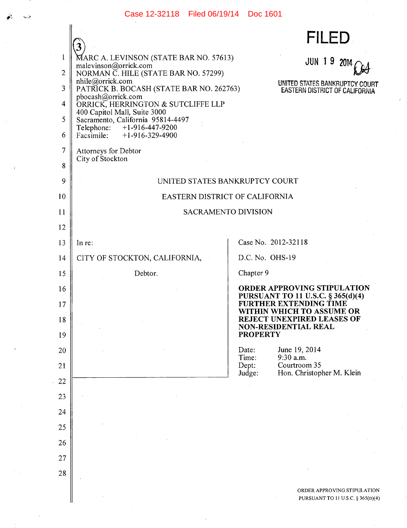## Case 12-32118 Filed 06/19/14 Doc 1601

 $\mathbf{r}$ 

الأنابا

 $\mathcal{L}$ 

|                | 3                                                                 |                 | <b>FILED</b>                                                     |
|----------------|-------------------------------------------------------------------|-----------------|------------------------------------------------------------------|
| 1              | MARC A. LEVINSON (STATE BAR NO. 57613)                            |                 | JUN 19<br>2014                                                   |
| $\overline{2}$ | malevinson@orrick.com<br>NORMAN C. HILE (STATE BAR NO. 57299)     |                 |                                                                  |
| 3              | nhile@orrick.com<br>PATRICK B. BOCASH (STATE BAR NO. 262763)      |                 | UNITED STATES BANKRUPTCY COURT<br>EASTERN DISTRICT OF CALIFORNIA |
| 4              | pbocash@orrick.com<br>ORRICK, HERRINGTON & SUTCLIFFE LLP          |                 |                                                                  |
| 5              | 400 Capitol Mall, Suite 3000<br>Sacramento, California 95814-4497 |                 |                                                                  |
| 6              | Telephone: +1-916-447-9200<br>Facsimile: $+1-916-329-4900$        |                 |                                                                  |
| 7              | Attorneys for Debtor                                              |                 |                                                                  |
| 8              | City of Stockton                                                  |                 |                                                                  |
| 9              | UNITED STATES BANKRUPTCY COURT                                    |                 |                                                                  |
| 10             | EASTERN DISTRICT OF CALIFORNIA                                    |                 |                                                                  |
| 11             | <b>SACRAMENTO DIVISION</b>                                        |                 |                                                                  |
| 12             |                                                                   |                 |                                                                  |
| 13             | In re:                                                            |                 | Case No. 2012-32118                                              |
| 14             | CITY OF STOCKTON, CALIFORNIA,                                     | D.C. No. OHS-19 |                                                                  |
| 15             | Debtor.                                                           | Chapter 9       |                                                                  |
| 16             |                                                                   |                 | ORDER APPROVING STIPULATION<br>PURSUANT TO 11 U.S.C. § 365(d)(4) |
| 17             |                                                                   |                 | FURTHER EXTENDING TIME<br>WITHIN WHICH TO ASSUME OR              |
| 18             |                                                                   |                 | REJECT UNEXPIRED LEASES OF<br><b>NON-RESIDENTIAL REAL</b>        |
| 19             |                                                                   | <b>PROPERTY</b> |                                                                  |
| 20             |                                                                   | Date:<br>Time:  | June 19, 2014<br>9:30 a.m.                                       |
| 21             |                                                                   | Dept:<br>Judge: | Courtroom 35<br>Hon. Christopher M. Klein                        |
| 22             |                                                                   |                 |                                                                  |
| 23             |                                                                   |                 |                                                                  |
| 24             |                                                                   |                 |                                                                  |
| 25             |                                                                   |                 |                                                                  |
| 26             |                                                                   |                 |                                                                  |
| 27             |                                                                   |                 |                                                                  |
| 28             |                                                                   |                 |                                                                  |
|                |                                                                   |                 | ORDER APPROVING STIPULATION<br>PURSUANT TO 11 U.S.C. § 365(D)(4) |

 $\bar{z}$ 

 $\bar{I}$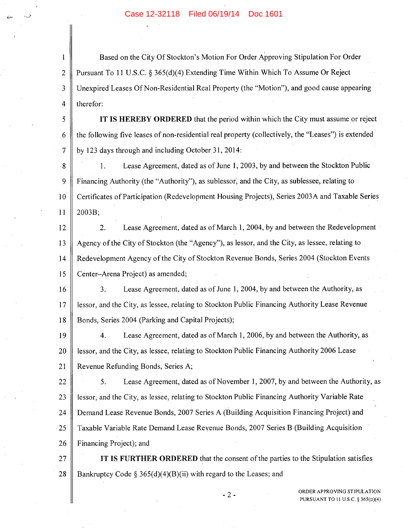I Based on the City Of Stockton's Motion For Order Approving Stipulation For Order 2 Pursuant To 11 U.S.C. § *365(d)(4)* Extending Time Within Which To Assume Or Reject 3 Unexpired Leases Of Non-Residential Real Property (the "Motion"), and good cause appearing 4  $\parallel$  therefor:

*<sup>5</sup>***IT IS HEREBY ORDERED** that the period within which the City must assume or reject 6 the following five leases of non-residential real property (collectively, the "Leases") is extended  $7 \parallel$  by 123 days through and including October 31, 2014:

8 1. Lease Agreement, dated as of June 1, 2003, by and between the Stockton Public 9 Financing Authority (the "Authority"), as sublessor, and the City, as sublessee, relating to 10 Certificates of Participation (Redevelopment Housing Projects), Series 2003A and Taxable Series  $11 \parallel 2003B;$ 

12 2. Lease Agreement, dated as of March 1, 2004, by and between the Redevelopment 13 Agency of the City of Stockton (the "Agency"), as lessor, and the City, as lessee, relating to 14 Redevelopment Agency of the City of Stockton Revenue Bonds, Series 2004 (Stockton Events 15 Center–Arena Project) as amended;

16 3. Lease Agreement, dated as of June 1, 2004, by and between the Authority, as 17 lessor, and the City, as lessee, relating to Stockton Public Financing Authority Lease Revenue 18 Bonds, Series 2004 (Parking and Capital Projects);

19 4. Lease Agreement, dated as of March 1, 2006, by and between the Authority, as 20 **lessor, and the City, as lessee, relating to Stockton Public Financing Authority 2006 Lease** 21 || Revenue Refunding Bonds, Series A;

22 *5.* Lease Agreement, dated as of November 1, 2007, by and between the Authority, as 23 | lessor, and the City, as lessee, relating to Stockton Public Financing Authority Variable Rate 24 Demand Lease Revenue Bonds, 2007 Series A (Building Acquisition Financing Project) and *25* Taxable Variable Rate Demand Lease Revenue Bonds, 2007 Series B (Building Acquisition 26 Financing Project); and

27 **IT IS FURTHER ORDERED** that the consent of the parties to the Stipulation satisfies 28 | Bankruptcy Code § 365(d)(4)(B)(ii) with regard to the Leases; and

-2-